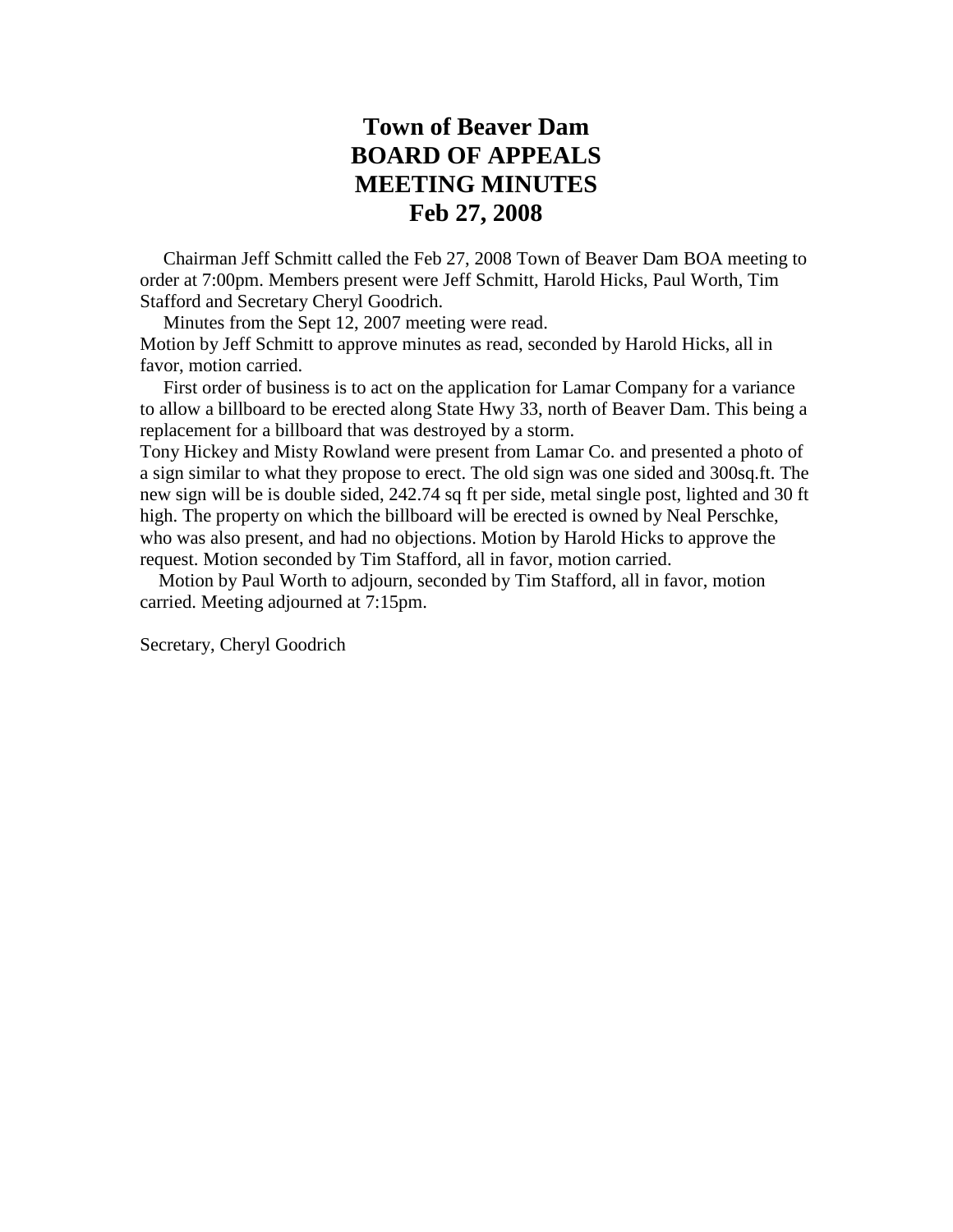## **Town of Beaver Dam BOARD OF APPEALS MEETING MINUTES Feb 27, 2008**

 Chairman Jeff Schmitt called the Feb 27, 2008 Town of Beaver Dam BOA meeting to order at 7:00pm. Members present were Jeff Schmitt, Harold Hicks, Paul Worth, Tim Stafford and Secretary Cheryl Goodrich.

Minutes from the Sept 12, 2007 meeting were read.

Motion by Jeff Schmitt to approve minutes as read, seconded by Harold Hicks, all in favor, motion carried.

 First order of business is to act on the application for Lamar Company for a variance to allow a billboard to be erected along State Hwy 33, north of Beaver Dam. This being a replacement for a billboard that was destroyed by a storm.

Tony Hickey and Misty Rowland were present from Lamar Co. and presented a photo of a sign similar to what they propose to erect. The old sign was one sided and 300sq.ft. The new sign will be is double sided, 242.74 sq ft per side, metal single post, lighted and 30 ft high. The property on which the billboard will be erected is owned by Neal Perschke, who was also present, and had no objections. Motion by Harold Hicks to approve the request. Motion seconded by Tim Stafford, all in favor, motion carried.

 Motion by Paul Worth to adjourn, seconded by Tim Stafford, all in favor, motion carried. Meeting adjourned at 7:15pm.

Secretary, Cheryl Goodrich